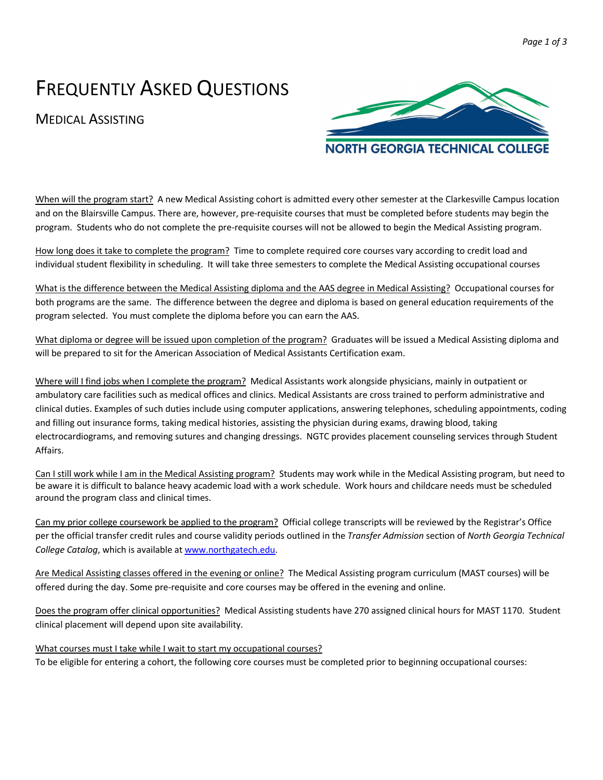# FREQUENTLY ASKED QUESTIONS

## MEDICAL ASSISTING



When will the program start? A new Medical Assisting cohort is admitted every other semester at the Clarkesville Campus location and on the Blairsville Campus. There are, however, pre-requisite courses that must be completed before students may begin the program. Students who do not complete the pre-requisite courses will not be allowed to begin the Medical Assisting program.

How long does it take to complete the program? Time to complete required core courses vary according to credit load and individual student flexibility in scheduling. It will take three semesters to complete the Medical Assisting occupational courses

What is the difference between the Medical Assisting diploma and the AAS degree in Medical Assisting? Occupational courses for both programs are the same. The difference between the degree and diploma is based on general education requirements of the program selected. You must complete the diploma before you can earn the AAS.

What diploma or degree will be issued upon completion of the program? Graduates will be issued a Medical Assisting diploma and will be prepared to sit for the American Association of Medical Assistants Certification exam.

Where will I find jobs when I complete the program? Medical Assistants work alongside physicians, mainly in outpatient or ambulatory care facilities such as medical offices and clinics. Medical Assistants are cross trained to perform administrative and clinical duties. Examples of such duties include using computer applications, answering telephones, scheduling appointments, coding and filling out insurance forms, taking medical histories, assisting the physician during exams, drawing blood, taking electrocardiograms, and removing sutures and changing dressings. NGTC provides placement counseling services through Student Affairs.

Can I still work while I am in the Medical Assisting program? Students may work while in the Medical Assisting program, but need to be aware it is difficult to balance heavy academic load with a work schedule. Work hours and childcare needs must be scheduled around the program class and clinical times.

Can my prior college coursework be applied to the program? Official college transcripts will be reviewed by the Registrar's Office per the official transfer credit rules and course validity periods outlined in the *Transfer Admission* section of *North Georgia Technical College Catalog*, which is available at www.northgatech.edu.

Are Medical Assisting classes offered in the evening or online? The Medical Assisting program curriculum (MAST courses) will be offered during the day. Some pre-requisite and core courses may be offered in the evening and online.

Does the program offer clinical opportunities? Medical Assisting students have 270 assigned clinical hours for MAST 1170. Student clinical placement will depend upon site availability.

### What courses must I take while I wait to start my occupational courses?

To be eligible for entering a cohort, the following core courses must be completed prior to beginning occupational courses: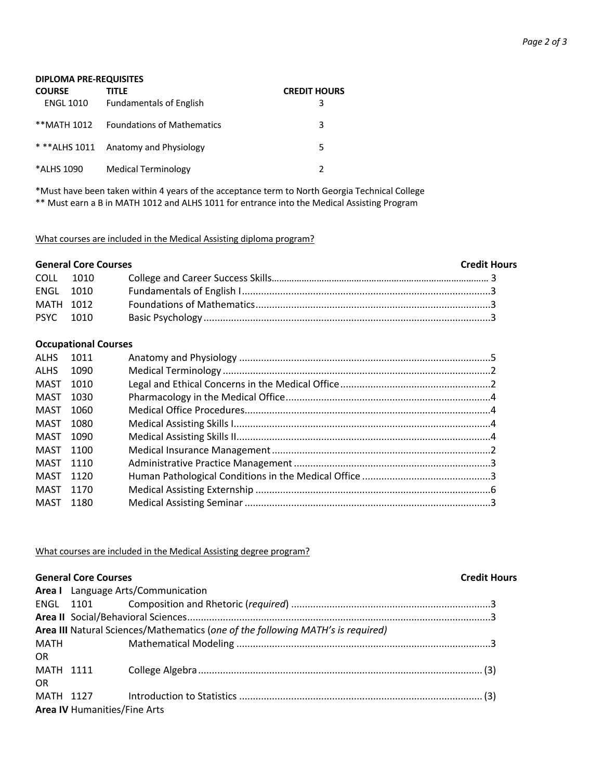| <b>DIPLOMA PRE-REQUISITES</b>     |                                         |                          |  |
|-----------------------------------|-----------------------------------------|--------------------------|--|
| <b>COURSE</b><br><b>ENGL 1010</b> | TITLE<br><b>Fundamentals of English</b> | <b>CREDIT HOURS</b><br>3 |  |
| **MATH 1012                       | <b>Foundations of Mathematics</b>       | 3                        |  |
|                                   | * ** ALHS 1011 Anatomy and Physiology   | 5                        |  |
| *ALHS 1090                        | <b>Medical Terminology</b>              |                          |  |

\*Must have been taken within 4 years of the acceptance term to North Georgia Technical College \*\* Must earn a B in MATH 1012 and ALHS 1011 for entrance into the Medical Assisting Program

What courses are included in the Medical Assisting diploma program?

| <b>General Core Courses</b> |  |  | <b>Credit Hours</b> |
|-----------------------------|--|--|---------------------|
| COLL 1010                   |  |  |                     |
| ENGL 1010                   |  |  |                     |
| MATH 1012                   |  |  |                     |
| PSYC 1010                   |  |  |                     |

### **Occupational Courses**

| ALHS 1011 |      |  |
|-----------|------|--|
| ALHS      | 1090 |  |
| MAST      | 1010 |  |
| MAST 1030 |      |  |
| MAST 1060 |      |  |
| MAST 1080 |      |  |
| MAST 1090 |      |  |
| MAST 1100 |      |  |
| MAST 1110 |      |  |
| MAST 1120 |      |  |
| MAST 1170 |      |  |
| MAST 1180 |      |  |
|           |      |  |

What courses are included in the Medical Assisting degree program?

|           | <b>General Core Courses</b>  |                                                                                 | <b>Credit Hours</b> |  |  |
|-----------|------------------------------|---------------------------------------------------------------------------------|---------------------|--|--|
|           |                              | Area I Language Arts/Communication                                              |                     |  |  |
|           |                              |                                                                                 |                     |  |  |
|           |                              |                                                                                 |                     |  |  |
|           |                              | Area III Natural Sciences/Mathematics (one of the following MATH's is required) |                     |  |  |
|           | <b>MATH</b>                  |                                                                                 |                     |  |  |
| <b>OR</b> |                              |                                                                                 |                     |  |  |
|           |                              |                                                                                 |                     |  |  |
| <b>OR</b> |                              |                                                                                 |                     |  |  |
|           |                              |                                                                                 |                     |  |  |
|           | Area IV Humanities/Fine Arts |                                                                                 |                     |  |  |